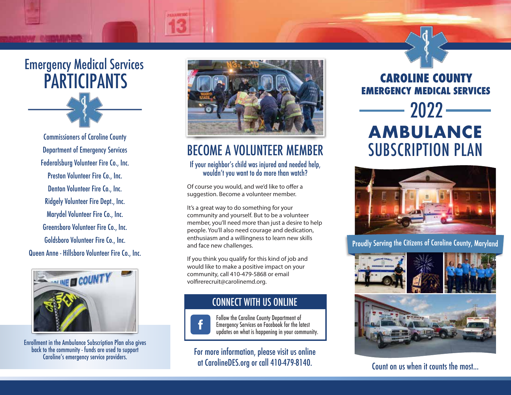

Commissioners of Caroline County Department of Emergency Services Federalsburg Volunteer Fire Co., Inc. Preston Volunteer Fire Co., Inc. Denton Volunteer Fire Co., Inc. Ridgely Volunteer Fire Dept., Inc. Marydel Volunteer Fire Co., Inc. Greensboro Volunteer Fire Co., Inc. Goldsboro Volunteer Fire Co., Inc. Queen Anne - Hillsboro Volunteer Fire Co., Inc.



Enrollment in the Ambulance Subscription Plan also gives back to the community - funds are used to support Caroline's emergency service providers.



# BECOME A VOLUNTEER MEMBER

### If your neighbor's child was injured and needed help, wouldn't you want to do more than watch?

Of course you would, and we'd like to offer a suggestion. Become a volunteer member.

It's a great way to do something for your community and yourself. But to be a volunteer member, you'll need more than just a desire to help people. You'll also need courage and dedication, enthusiasm and a willingness to learn new skills and face new challenges.

If you think you qualify for this kind of job and would like to make a positive impact on your community, call 410-479-5868 or email volfirerecruit@carolinemd.org.



### CONNECT WITH US ONLINE

Follow the Caroline County Department of Emergency Services on Facebook for the latest updates on what is happening in your community.

For more information, please visit us online at CarolineDES.org or call 410-479-8140.

**CAROLINE COUNTY EMERGENCY MEDICAL SERVICES** SUBSCRIPTION PLAN **AMBULANCE** 2022



Proudly Serving the Citizens of Caroline County, Maryland



Count on us when it counts the most...